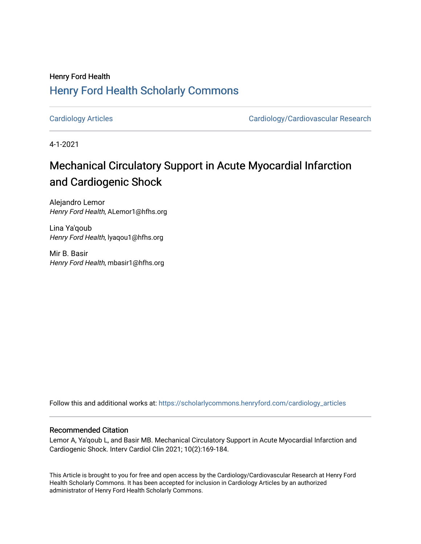### Henry Ford Health [Henry Ford Health Scholarly Commons](https://scholarlycommons.henryford.com/)

[Cardiology Articles](https://scholarlycommons.henryford.com/cardiology_articles) [Cardiology/Cardiovascular Research](https://scholarlycommons.henryford.com/cardiology) 

4-1-2021

## Mechanical Circulatory Support in Acute Myocardial Infarction and Cardiogenic Shock

Alejandro Lemor Henry Ford Health, ALemor1@hfhs.org

Lina Ya'qoub Henry Ford Health, lyaqou1@hfhs.org

Mir B. Basir Henry Ford Health, mbasir1@hfhs.org

Follow this and additional works at: [https://scholarlycommons.henryford.com/cardiology\\_articles](https://scholarlycommons.henryford.com/cardiology_articles?utm_source=scholarlycommons.henryford.com%2Fcardiology_articles%2F740&utm_medium=PDF&utm_campaign=PDFCoverPages)

#### Recommended Citation

Lemor A, Ya'qoub L, and Basir MB. Mechanical Circulatory Support in Acute Myocardial Infarction and Cardiogenic Shock. Interv Cardiol Clin 2021; 10(2):169-184.

This Article is brought to you for free and open access by the Cardiology/Cardiovascular Research at Henry Ford Health Scholarly Commons. It has been accepted for inclusion in Cardiology Articles by an authorized administrator of Henry Ford Health Scholarly Commons.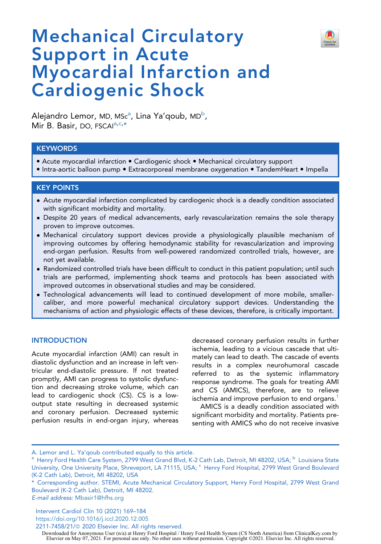

# Mechanical Circulatory Support in Acute Myocardial Infarction and Cardiogenic Shock

Alej[a](#page-1-0)ndro Lemor, MD, MScª, Lina Ya'qoub, MD<sup>b</sup>, Mir B. Basir, DO, FSCAI<sup>[a,](#page-1-0)[c,](#page-1-1)[\\*](#page-1-2)</sup>

#### **KEYWORDS**

- Acute myocardial infarction Cardiogenic shock Mechanical circulatory support
- Intra-aortic balloon pump Extracorporeal membrane oxygenation TandemHeart Impella

#### KEY POINTS

- Acute myocardial infarction complicated by cardiogenic shock is a deadly condition associated with significant morbidity and mortality.
- Despite 20 years of medical advancements, early revascularization remains the sole therapy proven to improve outcomes.
- Mechanical circulatory support devices provide a physiologically plausible mechanism of improving outcomes by offering hemodynamic stability for revascularization and improving end-organ perfusion. Results from well-powered randomized controlled trials, however, are not yet available.
- Randomized controlled trials have been difficult to conduct in this patient population; until such trials are performed, implementing shock teams and protocols has been associated with improved outcomes in observational studies and may be considered.
- Technological advancements will lead to continued development of more mobile, smallercaliber, and more powerful mechanical circulatory support devices. Understanding the mechanisms of action and physiologic effects of these devices, therefore, is critically important.

#### **INTRODUCTION**

Acute myocardial infarction (AMI) can result in diastolic dysfunction and an increase in left ventricular end-diastolic pressure. If not treated promptly, AMI can progress to systolic dysfunction and decreasing stroke volume, which can lead to cardiogenic shock (CS). CS is a lowoutput state resulting in decreased systemic and coronary perfusion. Decreased systemic perfusion results in end-organ injury, whereas

decreased coronary perfusion results in further ischemia, leading to a vicious cascade that ultimately can lead to death. The cascade of events results in a complex neurohumoral cascade referred to as the systemic inflammatory response syndrome. The goals for treating AMI and CS (AMICS), therefore, are to relieve ischemia and improve perfusion to end organs.<sup>[1](#page-13-0)</sup>

AMICS is a deadly condition associated with significant morbidity and mortality. Patients presenting with AMICS who do not receive invasive

E-mail address: [Mbasir1@hfhs.org](mailto:Mbasir1@hfhs.org)

Intervent Cardiol Clin 10 (2021) 169–184 <https://doi.org/10.1016/j.iccl.2020.12.005> 2211-7458/21/@ 2020 Elsevier Inc. All rights reserved.

A. Lemor and L. Ya'qoub contributed equally to this article.

<span id="page-1-1"></span><span id="page-1-0"></span> $^{\rm a}$  Henry Ford Health Care System, 2799 West Grand Blvd, K-2 Cath Lab, Detroit, MI 48202, USA;  $^{\rm b}$  Louisiana State University, One University Place, Shreveport, LA 71115, USA; C Henry Ford Hospital, 2799 West Grand Boulevard (K-2 Cath Lab), Detroit, MI 48202, USA

<span id="page-1-2"></span><sup>\*</sup> Corresponding author. STEMI, Acute Mechanical Circulatory Support, Henry Ford Hospital, 2799 West Grand Boulevard (K-2 Cath Lab), Detroit, MI 48202.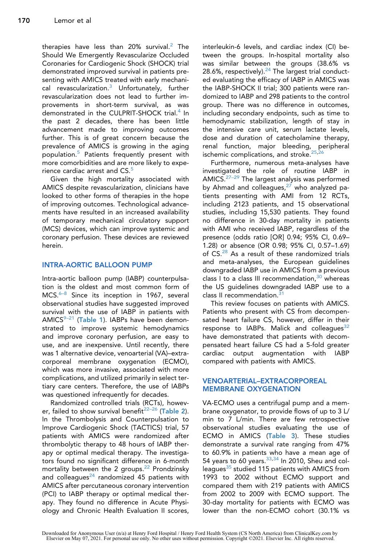therapies have less than [2](#page-13-1)0% survival.<sup>2</sup> The Should We Emergently Revascularize Occluded Coronaries for Cardiogenic Shock (SHOCK) trial demonstrated improved survival in patients presenting with AMICS treated with early mechanical revascularization. $3$  Unfortunately, further revascularization does not lead to further improvements in short-term survival, as was demonstrated in the CULPRIT-SHOCK trial.<sup>4</sup> In the past 2 decades, there has been little advancement made to improving outcomes further. This is of great concern because the prevalence of AMICS is growing in the aging population.[5](#page-13-4) Patients frequently present with more comorbidities and are more likely to expe-rience cardiac arrest and CS.<sup>[5](#page-13-4)</sup>

Given the high mortality associated with AMICS despite revascularization, clinicians have looked to other forms of therapies in the hope of improving outcomes. Technological advancements have resulted in an increased availability of temporary mechanical circulatory support (MCS) devices, which can improve systemic and coronary perfusion. These devices are reviewed herein.

#### INTRA-AORTIC BALLOON PUMP

Intra-aortic balloon pump (IABP) counterpulsation is the oldest and most common form of MCS.<sup>[6–8](#page-13-5)</sup> Since its inception in 1967, several observational studies have suggested improved survival with the use of IABP in patients with  $AMICS<sup>9-21</sup>$  ([Table 1](#page-3-0)). IABPs have been demonstrated to improve systemic hemodynamics and improve coronary perfusion, are easy to use, and are inexpensive. Until recently, there was 1 alternative device, venoarterial (VA)–extracorporeal membrane oxygenation (ECMO), which was more invasive, associated with more complications, and utilized primarily in select tertiary care centers. Therefore, the use of IABPs was questioned infrequently for decades.

Randomized controlled trials (RCTs), however, failed to show survival benefit<sup> $22-26$ </sup> ([Table 2](#page-5-0)). In the Thrombolysis and Counterpulsation to Improve Cardiogenic Shock (TACTICS) trial, 57 patients with AMICS were randomized after thrombolytic therapy to 48 hours of IABP therapy or optimal medical therapy. The investigators found no significant difference in 6-month mortality between the 2 groups.<sup>[22](#page-14-0)</sup> Prondzinsky and colleagues $^{24}$  $^{24}$  $^{24}$  randomized 45 patients with AMICS after percutaneous coronary intervention (PCI) to IABP therapy or optimal medical therapy. They found no difference in Acute Physiology and Chronic Health Evaluation II scores,

interleukin-6 levels, and cardiac index (CI) between the groups. In-hospital mortality also was similar between the groups (38.6% vs 28.6%, respectively). $24$  The largest trial conducted evaluating the efficacy of IABP in AMICS was the IABP-SHOCK II trial; 300 patients were randomized to IABP and 298 patients to the control group. There was no difference in outcomes, including secondary endpoints, such as time to hemodynamic stabilization, length of stay in the intensive care unit, serum lactate levels, dose and duration of catecholamine therapy, renal function, major bleeding, peripheral ischemic complications, and stroke.<sup>[25](#page-14-2)[,26](#page-14-3)</sup>

Furthermore, numerous meta-analyses have investigated the role of routine IABP in AMICS.<sup>27-29</sup> The largest analysis was performed by Ahmad and colleagues, $27$  who analyzed patients presenting with AMI from 12 RCTs, including 2123 patients, and 15 observational studies, including 15,530 patients. They found no difference in 30-day mortality in patients with AMI who received IABP, regardless of the presence (odds ratio [OR] 0.94; 95% CI, 0.69– 1.28) or absence (OR 0.98; 95% CI, 0.57–1.69) of CS.<sup>[28](#page-14-5)</sup> As a result of these randomized trials and meta-analyses, the European guidelines downgraded IABP use in AMICS from a previous class I to a class III recommendation,  $30$  whereas the US guidelines downgraded IABP use to a class II recommendation.<sup>[31](#page-14-7)</sup>

This review focuses on patients with AMICS. Patients who present with CS from decompensated heart failure CS, however, differ in their response to IABPs. Malick and colleagues $32$ have demonstrated that patients with decompensated heart failure CS had a 5-fold greater cardiac output augmentation with IABP compared with patients with AMICS.

#### VENOARTERIAL–EXTRACORPOREAL MEMBRANE OXYGENATION

VA-ECMO uses a centrifugal pump and a membrane oxygenator, to provide flows of up to 3 L/ min to 7 L/min. There are few retrospective observational studies evaluating the use of ECMO in AMICS ([Table 3](#page-6-0)). These studies demonstrate a survival rate ranging from 47% to 60.9% in patients who have a mean age of 54 years to 60 years.  $33,34$  $33,34$  In 2010, Sheu and col-leagues<sup>[35](#page-14-11)</sup> studied 115 patients with AMICS from 1993 to 2002 without ECMO support and compared them with 219 patients with AMICS from 2002 to 2009 with ECMO support. The 30-day mortality for patients with ECMO was lower than the non-ECMO cohort (30.1% vs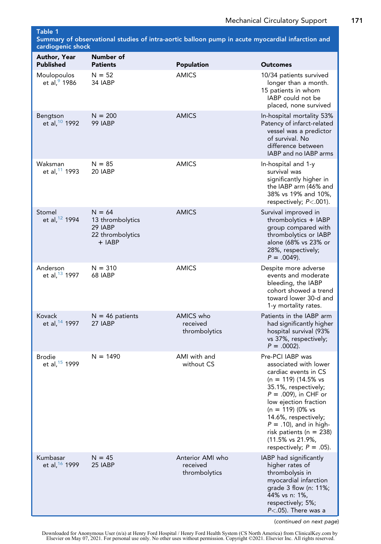<span id="page-3-0"></span>Table 1 Summary of observational studies of intra-aortic balloon pump in acute myocardial infarction and cardiogenic shock

| 99                                      | <b>Number of</b>                                                        |                                               |                                                                                                                                                                                                                                                                                                                                  |
|-----------------------------------------|-------------------------------------------------------------------------|-----------------------------------------------|----------------------------------------------------------------------------------------------------------------------------------------------------------------------------------------------------------------------------------------------------------------------------------------------------------------------------------|
| Author, Year<br><b>Published</b>        | <b>Patients</b>                                                         | <b>Population</b>                             | Outcomes                                                                                                                                                                                                                                                                                                                         |
| Moulopoulos<br>et al, <sup>9</sup> 1986 | $N = 52$<br>34 IABP                                                     | <b>AMICS</b>                                  | 10/34 patients survived<br>longer than a month.<br>15 patients in whom<br>IABP could not be<br>placed, none survived                                                                                                                                                                                                             |
| Bengtson<br>et al, 10 1992              | $N = 200$<br>99 IABP                                                    | <b>AMICS</b>                                  | In-hospital mortality 53%<br>Patency of infarct-related<br>vessel was a predictor<br>of survival. No<br>difference between<br>IABP and no IABP arms                                                                                                                                                                              |
| Waksman<br>et al, 11 1993               | $N = 85$<br>20 IABP                                                     | <b>AMICS</b>                                  | In-hospital and 1-y<br>survival was<br>significantly higher in<br>the IABP arm (46% and<br>38% vs 19% and 10%,<br>respectively; $P < .001$ ).                                                                                                                                                                                    |
| Stomel<br>et al, 12 1994                | $N = 64$<br>13 thrombolytics<br>29 IABP<br>22 thrombolytics<br>$+$ IABP | <b>AMICS</b>                                  | Survival improved in<br>thrombolytics + IABP<br>group compared with<br>thrombolytics or IABP<br>alone (68% vs 23% or<br>28%, respectively;<br>$P = .0049$ ).                                                                                                                                                                     |
| Anderson<br>et al, 13 1997              | $N = 310$<br>68 IABP                                                    | <b>AMICS</b>                                  | Despite more adverse<br>events and moderate<br>bleeding, the IABP<br>cohort showed a trend<br>toward lower 30-d and<br>1-y mortality rates.                                                                                                                                                                                      |
| <b>Kovack</b><br>et al, 14 1997         | $N = 46$ patients<br>27 IABP                                            | AMICS who<br>received<br>thrombolytics        | Patients in the IABP arm<br>had significantly higher<br>hospital survival (93%<br>vs 37%, respectively;<br>$P = .0002$ ).                                                                                                                                                                                                        |
| <b>Brodie</b><br>et al, 15 1999         | $N = 1490$                                                              | AMI with and<br>without CS                    | Pre-PCI IABP was<br>associated with lower<br>cardiac events in CS<br>$(n = 119)$ (14.5% vs<br>35.1%, respectively;<br>$P = .009$ , in CHF or<br>low ejection fraction<br>$(n = 119)$ (0% vs<br>14.6%, respectively;<br>$P = .10$ , and in high-<br>risk patients ( $n = 238$ )<br>(11.5% vs 21.9%,<br>respectively; $P = .05$ ). |
| Kumbasar<br>et al, 16 1999              | $N = 45$<br>25 IABP                                                     | Anterior AMI who<br>received<br>thrombolytics | IABP had significantly<br>higher rates of<br>thrombolysis in<br>myocardial infarction<br>grade 3 flow (n: 11%;<br>44% vs n: 1%,<br>respectively; 5%;<br>$P<.05$ ). There was a                                                                                                                                                   |

(continued on next page)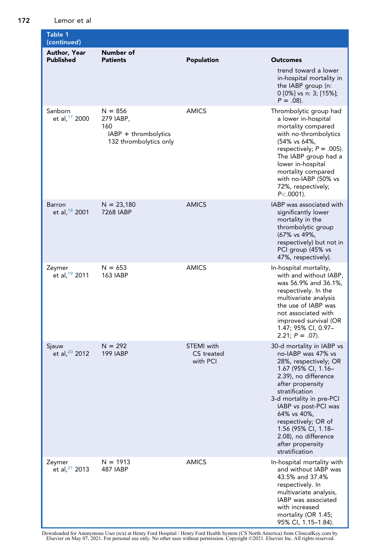172 Lemor et al

| Table 1<br>(continued)             |                                                                                 |                                      |                                                                                                                                                                                                                                                                                                                                              |
|------------------------------------|---------------------------------------------------------------------------------|--------------------------------------|----------------------------------------------------------------------------------------------------------------------------------------------------------------------------------------------------------------------------------------------------------------------------------------------------------------------------------------------|
| Author, Year<br><b>Published</b>   | Number of<br><b>Patients</b>                                                    | Population                           | <b>Outcomes</b><br>trend toward a lower<br>in-hospital mortality in<br>the IABP group (n:<br>0 [0%] vs n: 3; [15%];<br>$P = .08$ ).                                                                                                                                                                                                          |
| Sanborn<br>et al, 17 2000          | $N = 856$<br>279 IABP,<br>160<br>IABP + thrombolytics<br>132 thrombolytics only | <b>AMICS</b>                         | Thrombolytic group had<br>a lower in-hospital<br>mortality compared<br>with no-thrombolytics<br>(54% vs 64%,<br>respectively; $P = .005$ ).<br>The IABP group had a<br>lower in-hospital<br>mortality compared<br>with no-IABP (50% vs<br>72%, respectively;<br>$P < .0001$ ).                                                               |
| Barron<br>et al, 18 2001           | $N = 23,180$<br>7268 IABP                                                       | <b>AMICS</b>                         | IABP was associated with<br>significantly lower<br>mortality in the<br>thrombolytic group<br>(67% vs 49%,<br>respectively) but not in<br>PCI group (45% vs<br>47%, respectively).                                                                                                                                                            |
| Zeymer<br>et al, $19$ 2011         | $N = 653$<br><b>163 IABP</b>                                                    | <b>AMICS</b>                         | In-hospital mortality,<br>with and without IABP,<br>was 56.9% and 36.1%,<br>respectively. In the<br>multivariate analysis<br>the use of IABP was<br>not associated with<br>improved survival (OR<br>1.47; 95% CI, 0.97-<br>$2.21; P = .07$ ).                                                                                                |
| Sjauw<br>et al, <sup>20</sup> 2012 | $N = 292$<br><b>199 IABP</b>                                                    | STEMI with<br>CS treated<br>with PCI | 30-d mortality in IABP vs<br>no-IABP was 47% vs<br>28%, respectively; OR<br>1.67 (95% CI, 1.16-<br>2.39), no difference<br>after propensity<br>stratification<br>3-d mortality in pre-PCI<br>IABP vs post-PCI was<br>64% vs 40%,<br>respectively; OR of<br>1.56 (95% CI, 1.18-<br>2.08), no difference<br>after propensity<br>stratification |
| Zeymer<br>et al, $21$ 2013         | $N = 1913$<br>487 IABP                                                          | <b>AMICS</b>                         | In-hospital mortality with<br>and without IABP was<br>43.5% and 37.4%<br>respectively. In<br>multivariate analysis,<br>IABP was associated<br>with increased<br>mortality (OR 1.45;<br>95% CI, 1.15–1.84).                                                                                                                                   |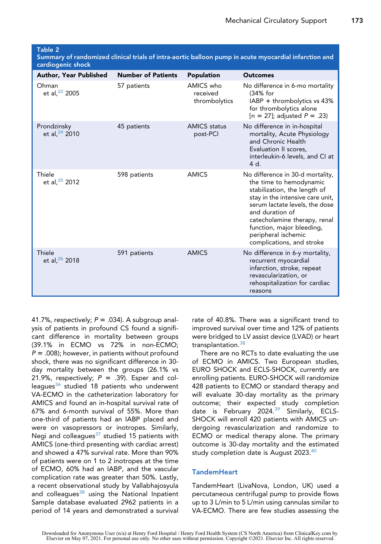<span id="page-5-0"></span>Summary of randomized clinical trials of intra-aortic balloon pump in acute myocardial infarction and cardiogenic shock

| <b>Author, Year Published</b>      | <b>Number of Patients</b> | Population                             | <b>Outcomes</b>                                                                                                                                                                                                                                                                                       |
|------------------------------------|---------------------------|----------------------------------------|-------------------------------------------------------------------------------------------------------------------------------------------------------------------------------------------------------------------------------------------------------------------------------------------------------|
| Ohman<br>et al, <sup>22</sup> 2005 | 57 patients               | AMICS who<br>received<br>thrombolytics | No difference in 6-mo mortality<br>(34% for<br>$IABP + thrombolytics vs 43%$<br>for thrombolytics alone<br>$[n = 27]$ ; adjusted $P = .23$ )                                                                                                                                                          |
| Prondzinsky<br>et al, $24$ 2010    | 45 patients               | <b>AMICS</b> status<br>post-PCI        | No difference in in-hospital<br>mortality, Acute Physiology<br>and Chronic Health<br>Evaluation II scores,<br>interleukin-6 levels, and CI at<br>4 d.                                                                                                                                                 |
| Thiele<br>et al, $25$ 2012         | 598 patients              | <b>AMICS</b>                           | No difference in 30-d mortality,<br>the time to hemodynamic<br>stabilization, the length of<br>stay in the intensive care unit,<br>serum lactate levels, the dose<br>and duration of<br>catecholamine therapy, renal<br>function, major bleeding,<br>peripheral ischemic<br>complications, and stroke |
| Thiele<br>et al, $26$ 2018         | 591 patients              | <b>AMICS</b>                           | No difference in 6-y mortality,<br>recurrent myocardial<br>infarction, stroke, repeat<br>revascularization, or<br>rehospitalization for cardiac<br>reasons                                                                                                                                            |

41.7%, respectively;  $P = .034$ ). A subgroup analysis of patients in profound CS found a significant difference in mortality between groups (39.1% in ECMO vs 72% in non-ECMO;  $P = .008$ ); however, in patients without profound shock, there was no significant difference in 30 day mortality between the groups (26.1% vs 21.9%, respectively;  $P = .39$ ). Esper and col-leagues<sup>[36](#page-14-16)</sup> studied 18 patients who underwent VA-ECMO in the catheterization laboratory for AMICS and found an in-hospital survival rate of 67% and 6-month survival of 55%. More than one-third of patients had an IABP placed and were on vasopressors or inotropes. Similarly, Negi and colleagues $37$  studied 15 patients with AMICS (one-third presenting with cardiac arrest) and showed a 47% survival rate. More than 90% of patients were on 1 to 2 inotropes at the time of ECMO, 60% had an IABP, and the vascular complication rate was greater than 50%. Lastly, a recent observational study by Vallabhajosyula and colleagues<sup>[38](#page-15-0)</sup> using the National Inpatient Sample database evaluated 2962 patients in a period of 14 years and demonstrated a survival rate of 40.8%. There was a significant trend to improved survival over time and 12% of patients were bridged to LV assist device (LVAD) or heart transplantation.<sup>[38](#page-15-0)</sup>

There are no RCTs to date evaluating the use of ECMO in AMICS. Two European studies, EURO SHOCK and ECLS-SHOCK, currently are enrolling patients. EURO-SHOCK will randomize 428 patients to ECMO or standard therapy and will evaluate 30-day mortality as the primary outcome; their expected study completion date is February 2024.<sup>39</sup> Similarly, ECLS-SHOCK will enroll 420 patients with AMICS undergoing revascularization and randomize to ECMO or medical therapy alone. The primary outcome is 30-day mortality and the estimated study completion date is August 2023.<sup>40</sup>

#### **TandemHeart**

TandemHeart (LivaNova, London, UK) used a percutaneous centrifugal pump to provide flows up to 3 L/min to 5 L/min using cannulas similar to VA-ECMO. There are few studies assessing the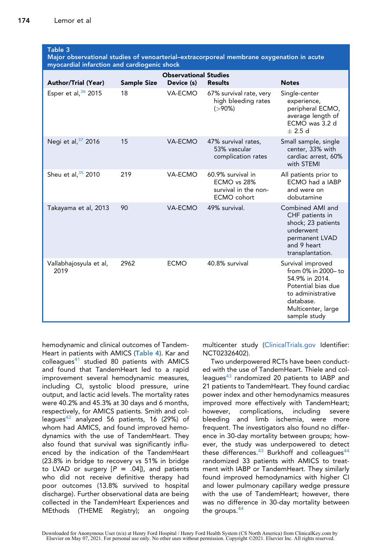#### <span id="page-6-0"></span>Table 3

Major observational studies of venoarterial–extracorporeal membrane oxygenation in acute myocardial infarction and cardiogenic shock

| <b>Author/Trial (Year)</b>     | <b>Sample Size</b> | <b>Observational Studies</b><br>Device (s) | <b>Results</b>                                                          | <b>Notes</b>                                                                                                                                            |
|--------------------------------|--------------------|--------------------------------------------|-------------------------------------------------------------------------|---------------------------------------------------------------------------------------------------------------------------------------------------------|
| Esper et al, $36$ 2015         | 18                 | VA-ECMO                                    | 67% survival rate, very<br>high bleeding rates<br>$( > 90\%)$           | Single-center<br>experience,<br>peripheral ECMO,<br>average length of<br>ECMO was 3.2 d<br>$+2.5d$                                                      |
| Negi et al, 37 2016            | 15                 | VA-ECMO                                    | 47% survival rates,<br>53% vascular<br>complication rates               | Small sample, single<br>center, 33% with<br>cardiac arrest, 60%<br>with STEMI                                                                           |
| Sheu et al, $35$ 2010          | 219                | VA-ECMO                                    | 60.9% survival in<br>ECMO vs 28%<br>survival in the non-<br>ECMO cohort | All patients prior to<br>ECMO had a IABP<br>and were on<br>dobutamine                                                                                   |
| Takayama et al, 2013           | 90                 | VA-ECMO                                    | 49% survival.                                                           | Combined AMI and<br>CHF patients in<br>shock; 23 patients<br>underwent<br>permanent LVAD<br>and 9 heart<br>transplantation.                             |
| Vallabhajosyula et al,<br>2019 | 2962               | <b>ECMO</b>                                | 40.8% survival                                                          | Survival improved<br>from 0% in 2000-to<br>54.9% in 2014.<br>Potential bias due<br>to administrative<br>database.<br>Multicenter, large<br>sample study |

hemodynamic and clinical outcomes of Tandem-Heart in patients with AMICS ([Table 4](#page-7-0)). Kar and  $colleagues<sup>41</sup>$  $colleagues<sup>41</sup>$  $colleagues<sup>41</sup>$  studied 80 patients with AMICS and found that TandemHeart led to a rapid improvement several hemodynamic measures, including CI, systolic blood pressure, urine output, and lactic acid levels. The mortality rates were 40.2% and 45.3% at 30 days and 6 months, respectively, for AMICS patients. Smith and col-leagues<sup>[42](#page-15-4)</sup> analyzed 56 patients, 16 (29%) of whom had AMICS, and found improved hemodynamics with the use of TandemHeart. They also found that survival was significantly influenced by the indication of the TandemHeart (23.8% in bridge to recovery vs 51% in bridge to LVAD or surgery  $[P = .04]$ , and patients who did not receive definitive therapy had poor outcomes (13.8% survived to hospital discharge). Further observational data are being collected in the TandemHeart Experiences and MEthods (THEME Registry); an ongoing

multicenter study ([ClinicalTrials.gov](http://ClinicalTrials.gov) Identifier: NCT02326402).

Two underpowered RCTs have been conducted with the use of TandemHeart. Thiele and col-leagues<sup>[43](#page-15-5)</sup> randomized 20 patients to IABP and 21 patients to TandemHeart. They found cardiac power index and other hemodynamics measures improved more effectively with TandemHeart; however, complications, including severe bleeding and limb ischemia, were more frequent. The investigators also found no difference in 30-day mortality between groups; however, the study was underpowered to detect these differences. $43$  Burkhoff and colleagues $44$ randomized 33 patients with AMICS to treatment with IABP or TandemHeart. They similarly found improved hemodynamics with higher CI and lower pulmonary capillary wedge pressure with the use of TandemHeart; however, there was no difference in 30-day mortality between the groups.[44](#page-15-6)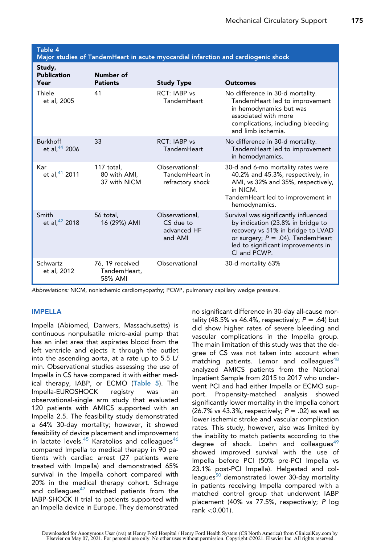<span id="page-7-0"></span>Table 4

|  |  | Major studies of TandemHeart in acute myocardial infarction and cardiogenic shock |
|--|--|-----------------------------------------------------------------------------------|
|  |  |                                                                                   |
|  |  |                                                                                   |

| Study,<br><b>Publication</b><br>Year | Number of<br><b>Patients</b>               | <b>Study Type</b>                                     | <b>Outcomes</b>                                                                                                                                                                                               |
|--------------------------------------|--------------------------------------------|-------------------------------------------------------|---------------------------------------------------------------------------------------------------------------------------------------------------------------------------------------------------------------|
| Thiele<br>et al, 2005                | 41                                         | RCT: IABP vs<br>TandemHeart                           | No difference in 30-d mortality.<br>TandemHeart led to improvement<br>in hemodynamics but was<br>associated with more<br>complications, including bleeding<br>and limb ischemia.                              |
| <b>Burkhoff</b><br>et al, 44 2006    | 33                                         | RCT: IABP vs<br>TandemHeart                           | No difference in 30-d mortality.<br>TandemHeart led to improvement<br>in hemodynamics.                                                                                                                        |
| Kar<br>et al, 41 2011                | 117 total,<br>80 with AMI,<br>37 with NICM | Observational:<br>TandemHeart in<br>refractory shock  | 30-d and 6-mo mortality rates were<br>40.2% and 45.3%, respectively, in<br>AMI, vs 32% and 35%, respectively,<br>in NICM.<br>TandemHeart led to improvement in<br>hemodynamics.                               |
| Smith<br>et al, $42$ 2018            | 56 total,<br>16 (29%) AMI                  | Observational,<br>CS due to<br>advanced HF<br>and AMI | Survival was significantly influenced<br>by indication (23.8% in bridge to<br>recovery vs 51% in bridge to LVAD<br>or surgery; $P = .04$ ). TandemHeart<br>led to significant improvements in<br>CI and PCWP. |
| Schwartz<br>et al, 2012              | 76, 19 received<br>TandemHeart,<br>58% AMI | Observational                                         | 30-d mortality 63%                                                                                                                                                                                            |

Abbreviations: NICM, nonischemic cardiomyopathy; PCWP, pulmonary capillary wedge pressure.

#### IMPELLA

Impella (Abiomed, Danvers, Massachusetts) is continuous nonpulsatile micro-axial pump that has an inlet area that aspirates blood from the left ventricle and ejects it through the outlet into the ascending aorta, at a rate up to 5.5 L/ min. Observational studies assessing the use of Impella in CS have compared it with either medical therapy, IABP, or ECMO ([Table 5](#page-8-0)). The Impella-EUROSHOCK registry was an observational-single arm study that evaluated 120 patients with AMICS supported with an Impella 2.5. The feasibility study demonstrated a 64% 30-day mortality; however, it showed feasibility of device placement and improvement in lactate levels. $45$  Karatolios and colleagues $46$ compared Impella to medical therapy in 90 patients with cardiac arrest (27 patients were treated with Impella) and demonstrated 65% survival in the Impella cohort compared with 20% in the medical therapy cohort. Schrage and colleagues<sup>[47](#page-15-9)</sup> matched patients from the IABP-SHOCK II trial to patients supported with an Impella device in Europe. They demonstrated no significant difference in 30-day all-cause mortality (48.5% vs 46.4%, respectively;  $P = .64$ ) but did show higher rates of severe bleeding and vascular complications in the Impella group. The main limitation of this study was that the degree of CS was not taken into account when matching patients. Lemor and colleagues $48$ analyzed AMICS patients from the National Inpatient Sample from 2015 to 2017 who underwent PCI and had either Impella or ECMO support. Propensity-matched analysis showed significantly lower mortality in the Impella cohort (26.7% vs 43.3%, respectively;  $P = .02$ ) as well as lower ischemic stroke and vascular complication rates. This study, however, also was limited by the inability to match patients according to the degree of shock. Loehn and colleagues $49$ showed improved survival with the use of Impella before PCI (50% pre-PCI Impella vs 23.1% post-PCI Impella). Helgestad and col-leagues<sup>[50](#page-15-12)</sup> demonstrated lower 30-day mortality in patients receiving Impella compared with a matched control group that underwent IABP placement (40% vs 77.5%, respectively; P log rank <0.001).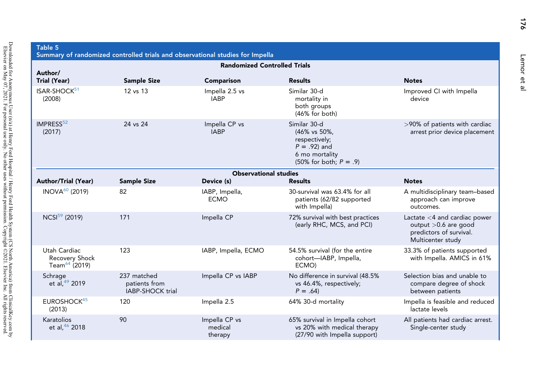<span id="page-8-0"></span>

| Table 5<br>Summary of randomized controlled trials and observational studies for Impella |                                                  |                                     |                                                                                                                         |                                                                                                          |  |  |  |
|------------------------------------------------------------------------------------------|--------------------------------------------------|-------------------------------------|-------------------------------------------------------------------------------------------------------------------------|----------------------------------------------------------------------------------------------------------|--|--|--|
|                                                                                          | <b>Randomized Controlled Trials</b>              |                                     |                                                                                                                         |                                                                                                          |  |  |  |
| Author/<br>Trial (Year)                                                                  | <b>Sample Size</b>                               | Comparison                          | <b>Results</b>                                                                                                          | <b>Notes</b>                                                                                             |  |  |  |
| ISAR-SHOCK <sup>51</sup><br>(2008)                                                       | 12 vs 13                                         | Impella 2.5 vs<br><b>IABP</b>       | Similar 30-d<br>mortality in<br>both groups<br>(46% for both)                                                           | Improved CI with Impella<br>device                                                                       |  |  |  |
| IMPRESS <sup>52</sup><br>(2017)                                                          | 24 vs 24                                         | Impella CP vs<br><b>IABP</b>        | Similar 30-d<br>(46% vs 50%,<br>respectively;<br>$P = .92$ ) and<br>6 mo mortality<br>$(50\% \text{ for both}; P = .9)$ | >90% of patients with cardiac<br>arrest prior device placement                                           |  |  |  |
|                                                                                          |                                                  | <b>Observational studies</b>        |                                                                                                                         |                                                                                                          |  |  |  |
| <b>Author/Trial (Year)</b>                                                               | <b>Sample Size</b>                               | Device (s)                          | <b>Results</b>                                                                                                          | <b>Notes</b>                                                                                             |  |  |  |
| $INOVA60$ (2019)                                                                         | 82                                               | IABP, Impella,<br><b>ECMO</b>       | 30-survival was 63.4% for all<br>patients (62/82 supported<br>with Impella)                                             | A multidisciplinary team-based<br>approach can improve<br>outcomes.                                      |  |  |  |
| NCSI <sup>59</sup> (2019)                                                                | 171                                              | Impella CP                          | 72% survival with best practices<br>(early RHC, MCS, and PCI)                                                           | Lactate $<$ 4 and cardiac power<br>output > 0.6 are good<br>predictors of survival.<br>Multicenter study |  |  |  |
| Utah Cardiac<br>Recovery Shock<br>Team <sup>64</sup> (2019)                              | 123                                              | IABP, Impella, ECMO                 | 54.5% survival (for the entire<br>cohort-IABP, Impella,<br>ECMO)                                                        | 33.3% of patients supported<br>with Impella. AMICS in 61%                                                |  |  |  |
| Schrage<br>et al, $49$ 2019                                                              | 237 matched<br>patients from<br>IABP-SHOCK trial | Impella CP vs IABP                  | No difference in survival (48.5%<br>vs 46.4%, respectively;<br>$P = .64$                                                | Selection bias and unable to<br>compare degree of shock<br>between patients                              |  |  |  |
| EUROSHOCK <sup>45</sup><br>(2013)                                                        | 120                                              | Impella 2.5                         | 64% 30-d mortality                                                                                                      | Impella is feasible and reduced<br>lactate levels                                                        |  |  |  |
| Karatolios<br>et al, <sup>46</sup> 2018                                                  | 90                                               | Impella CP vs<br>medical<br>therapy | 65% survival in Impella cohort<br>vs 20% with medical therapy<br>(27/90 with Impella support)                           | All patients had cardiac arrest.<br>Single-center study                                                  |  |  |  |

Lemor et al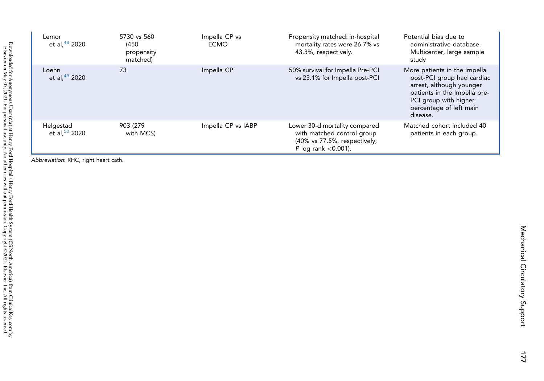| Lemor<br>et al, <sup>48</sup> 2020 | 5730 vs 560<br>(450)<br>propensity<br>matched) | Impella CP vs<br><b>ECMO</b> | Propensity matched: in-hospital<br>mortality rates were 26.7% vs<br>43.3%, respectively.                              | Potential bias due to<br>administrative database.<br>Multicenter, large sample<br>study                                                                                                |
|------------------------------------|------------------------------------------------|------------------------------|-----------------------------------------------------------------------------------------------------------------------|----------------------------------------------------------------------------------------------------------------------------------------------------------------------------------------|
| Loehn<br>et al, $49$ 2020          | 73                                             | Impella CP                   | 50% survival for Impella Pre-PCI<br>vs 23.1% for Impella post-PCI                                                     | More patients in the Impella<br>post-PCI group had cardiac<br>arrest, although younger<br>patients in the Impella pre-<br>PCI group with higher<br>percentage of left main<br>disease. |
| Helgestad<br>et al, $50$ 2020      | 903 (279)<br>with MCS)                         | Impella CP vs IABP           | Lower 30-d mortality compared<br>with matched control group<br>(40% vs 77.5%, respectively;<br>P log rank $<$ 0.001). | Matched cohort included 40<br>patients in each group.                                                                                                                                  |

Abbreviation: RHC, right heart cath.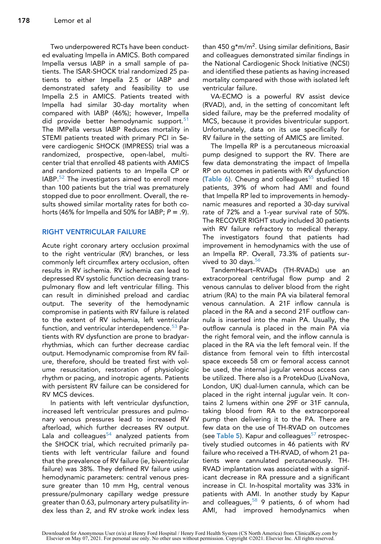Two underpowered RCTs have been conducted evaluating Impella in AMICS. Both compared Impella versus IABP in a small sample of patients. The ISAR-SHOCK trial randomized 25 patients to either Impella 2.5 or IABP and demonstrated safety and feasibility to use Impella 2.5 in AMICS. Patients treated with Impella had similar 30-day mortality when compared with IABP (46%); however, Impella did provide better hemodynamic support.<sup>[51](#page-15-22)</sup> The IMPella versus IABP Reduces mortality in STEMI patients treated with primary PCI in Severe cardiogenic SHOCK (IMPRESS) trial was a randomized, prospective, open-label, multicenter trial that enrolled 48 patients with AMICS and randomized patients to an Impella CP or IABP.<sup>[52](#page-15-23)</sup> The investigators aimed to enroll more than 100 patients but the trial was prematurely stopped due to poor enrollment. Overall, the results showed similar mortality rates for both cohorts (46% for Impella and 50% for IABP;  $P = .9$ ).

#### RIGHT VENTRICULAR FAILURE

Acute right coronary artery occlusion proximal to the right ventricular (RV) branches, or less commonly left circumflex artery occlusion, often results in RV ischemia. RV ischemia can lead to depressed RV systolic function decreasing transpulmonary flow and left ventricular filling. This can result in diminished preload and cardiac output. The severity of the hemodynamic compromise in patients with RV failure is related to the extent of RV ischemia, left ventricular function, and ventricular interdependence.<sup>[53](#page-15-24)</sup> Patients with RV dysfunction are prone to bradyarrhythmias, which can further decrease cardiac output. Hemodynamic compromise from RV failure, therefore, should be treated first with volume resuscitation, restoration of physiologic rhythm or pacing, and inotropic agents. Patients with persistent RV failure can be considered for RV MCS devices.

In patients with left ventricular dysfunction, increased left ventricular pressures and pulmonary venous pressures lead to increased RV afterload, which further decreases RV output. Lala and colleagues $54$  analyzed patients from the SHOCK trial, which recruited primarily patients with left ventricular failure and found that the prevalence of RV failure (ie, biventricular failure) was 38%. They defined RV failure using hemodynamic parameters: central venous pressure greater than 10 mm Hg, central venous pressure/pulmonary capillary wedge pressure greater than 0.63, pulmonary artery pulsatility index less than 2, and RV stroke work index less

than 450 g\*m/m<sup>2</sup>. Using similar definitions, Basir and colleagues demonstrated similar findings in the National Cardiogenic Shock Initiative (NCSI) and identified these patients as having increased mortality compared with those with isolated left ventricular failure.

VA-ECMO is a powerful RV assist device (RVAD), and, in the setting of concomitant left sided failure, may be the preferred modality of MCS, because it provides biventricular support. Unfortunately, data on its use specifically for RV failure in the setting of AMICS are limited.

The Impella RP is a percutaneous microaxial pump designed to support the RV. There are few data demonstrating the impact of Impella RP on outcomes in patients with RV dysfunction ([Table 6](#page-11-0)). Cheung and colleagues $55$  studied 18 patients, 39% of whom had AMI and found that Impella RP led to improvements in hemodynamic measures and reported a 30-day survival rate of 72% and a 1-year survival rate of 50%. The RECOVER RIGHT study included 30 patients with RV failure refractory to medical therapy. The investigators found that patients had improvement in hemodynamics with the use of an Impella RP. Overall, 73.3% of patients survived to 30 days.<sup>56</sup>

TandemHeart–RVADs (TH-RVADs) use an extracorporeal centrifugal flow pump and 2 venous cannulas to deliver blood from the right atrium (RA) to the main PA via bilateral femoral venous cannulation. A 21F inflow cannula is placed in the RA and a second 21F outflow cannula is inserted into the main PA. Usually, the outflow cannula is placed in the main PA via the right femoral vein, and the inflow cannula is placed in the RA via the left femoral vein. If the distance from femoral vein to fifth intercostal space exceeds 58 cm or femoral access cannot be used, the internal jugular venous access can be utilized. There also is a ProtekDuo (LivaNova, London, UK) dual-lumen cannula, which can be placed in the right internal jugular vein. It contains 2 lumens within one 29F or 31F cannula, taking blood from RA to the extracorporeal pump then delivering it to the PA. There are few data on the use of TH-RVAD on outcomes (see [Table 5](#page-8-0)). Kapur and colleagues<sup>[57](#page-15-28)</sup> retrospectively studied outcomes in 46 patients with RV failure who received a TH-RVAD, of whom 21 patients were cannulated percutaneously. TH-RVAD implantation was associated with a significant decrease in RA pressure and a significant increase in CI. In-hospital mortality was 33% in patients with AMI. In another study by Kapur and colleagues,  $58$  9 patients, 6 of whom had AMI, had improved hemodynamics when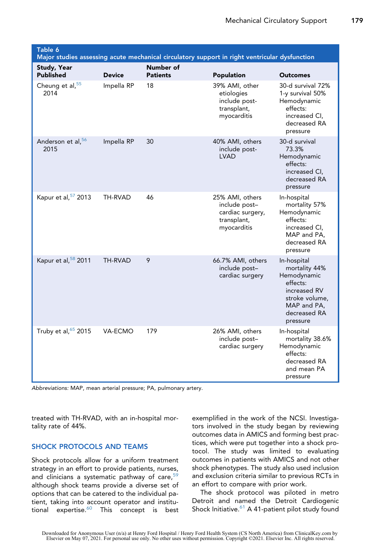<span id="page-11-0"></span>

| Table 6<br>Major studies assessing acute mechanical circulatory support in right ventricular dysfunction |               |                              |                                                                                    |                                                                                                                                      |  |
|----------------------------------------------------------------------------------------------------------|---------------|------------------------------|------------------------------------------------------------------------------------|--------------------------------------------------------------------------------------------------------------------------------------|--|
| <b>Study, Year</b><br><b>Published</b>                                                                   | <b>Device</b> | Number of<br><b>Patients</b> | Population                                                                         | Outcomes                                                                                                                             |  |
| Cheung et al, 55<br>2014                                                                                 | Impella RP    | 18                           | 39% AMI, other<br>etiologies<br>include post-<br>transplant,<br>myocarditis        | 30-d survival 72%<br>1-y survival 50%<br>Hemodynamic<br>effects:<br>increased CI,<br>decreased RA<br>pressure                        |  |
| Anderson et al, 56<br>2015                                                                               | Impella RP    | 30                           | 40% AMI, others<br>include post-<br><b>LVAD</b>                                    | 30-d survival<br>73.3%<br>Hemodynamic<br>effects:<br>increased CI,<br>decreased RA<br>pressure                                       |  |
| Kapur et al, 57 2013                                                                                     | TH-RVAD       | 46                           | 25% AMI, others<br>include post-<br>cardiac surgery,<br>transplant,<br>myocarditis | In-hospital<br>mortality 57%<br>Hemodynamic<br>effects:<br>increased CI,<br>MAP and PA,<br>decreased RA<br>pressure                  |  |
| Kapur et al, 58 2011                                                                                     | TH-RVAD       | 9                            | 66.7% AMI, others<br>include post-<br>cardiac surgery                              | In-hospital<br>mortality 44%<br>Hemodynamic<br>effects:<br>increased RV<br>stroke volume,<br>MAP and PA,<br>decreased RA<br>pressure |  |
| Truby et al, 65 2015                                                                                     | VA-ECMO       | 179                          | 26% AMI, others<br>include post-<br>cardiac surgery                                | In-hospital<br>mortality 38.6%<br>Hemodynamic<br>effects:<br>decreased RA<br>and mean PA<br>pressure                                 |  |

Abbreviations: MAP, mean arterial pressure; PA, pulmonary artery.

treated with TH-RVAD, with an in-hospital mortality rate of 44%.

#### SHOCK PROTOCOLS AND TEAMS

Shock protocols allow for a uniform treatment strategy in an effort to provide patients, nurses, and clinicians a systematic pathway of care,  $59$ although shock teams provide a diverse set of options that can be catered to the individual patient, taking into account operator and institu-tional expertise.<sup>[60](#page-15-31)</sup> This concept is best exemplified in the work of the NCSI. Investigators involved in the study began by reviewing outcomes data in AMICS and forming best practices, which were put together into a shock protocol. The study was limited to evaluating outcomes in patients with AMICS and not other shock phenotypes. The study also used inclusion and exclusion criteria similar to previous RCTs in an effort to compare with prior work.

The shock protocol was piloted in metro Detroit and named the Detroit Cardiogenic Shock Initiative. $61$  A 41-patient pilot study found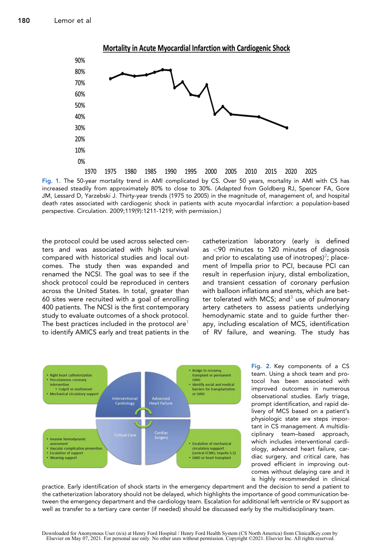<span id="page-12-0"></span>

Fig. 1. The 50-year mortality trend in AMI complicated by CS. Over 50 years, mortality in AMI with CS has increased steadily from approximately 80% to close to 30%. (Adapted from Goldberg RJ, Spencer FA, Gore JM, Lessard D, Yarzebski J. Thirty-year trends (1975 to 2005) in the magnitude of, management of, and hospital death rates associated with cardiogenic shock in patients with acute myocardial infarction: a population-based perspective. Circulation. 2009;119(9):1211-1219; with permission.)

the protocol could be used across selected centers and was associated with high survival compared with historical studies and local outcomes. The study then was expanded and renamed the NCSI. The goal was to see if the shock protocol could be reproduced in centers across the United States. In total, greater than 60 sites were recruited with a goal of enrolling 400 patients. The NCSI is the first contemporary study to evaluate outcomes of a shock protocol. The best practices included in the protocol are<sup>1</sup> to identify AMICS early and treat patients in the catheterization laboratory (early is defined as <90 minutes to 120 minutes of diagnosis and prior to escalating use of inotropes)<sup>[2](#page-13-1)</sup>; placement of Impella prior to PCI, because PCI can result in reperfusion injury, distal embolization, and transient cessation of coronary perfusion with balloon inflations and stents, which are better tolerated with MCS; and  $3$  use of pulmonary artery catheters to assess patients underlying hemodynamic state and to guide further therapy, including escalation of MCS, identification of RV failure, and weaning. The study has

2025

<span id="page-12-1"></span>

Fig. 2. Key components of a CS team. Using a shock team and protocol has been associated with improved outcomes in numerous observational studies. Early triage, prompt identification, and rapid delivery of MCS based on a patient's physiologic state are steps important in CS management. A multidisciplinary team–based approach, which includes interventional cardiology, advanced heart failure, cardiac surgery, and critical care, has proved efficient in improving outcomes without delaying care and it is highly recommended in clinical

practice. Early identification of shock starts in the emergency department and the decision to send a patient to the catheterization laboratory should not be delayed, which highlights the importance of good communication between the emergency department and the cardiology team. Escalation for additional left ventricle or RV support as well as transfer to a tertiary care center (if needed) should be discussed early by the multidisciplinary team.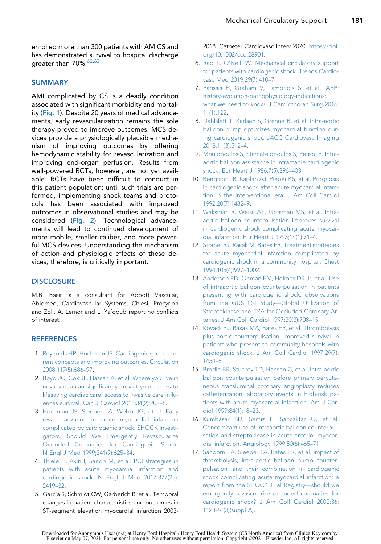enrolled more than 300 patients with AMICS and has demonstrated survival to hospital discharge greater than 70%.<sup>62[,63](#page-16-4)</sup>

#### **SUMMARY**

AMI complicated by CS is a deadly condition associated with significant morbidity and mortal-ity ([Fig. 1](#page-12-0)). Despite 20 years of medical advancements, early revascularization remains the sole therapy proved to improve outcomes. MCS devices provide a physiologically plausible mechanism of improving outcomes by offering hemodynamic stability for revascularization and improving end-organ perfusion. Results from well-powered RCTs, however, are not yet available. RCTs have been difficult to conduct in this patient population; until such trials are performed, implementing shock teams and protocols has been associated with improved outcomes in observational studies and may be considered ([Fig. 2](#page-12-1)). Technological advancements will lead to continued development of more mobile, smaller-caliber, and more powerful MCS devices. Understanding the mechanism of action and physiologic effects of these devices, therefore, is critically important.

#### **DISCLOSURE**

M.B. Basir is a consultant for Abbott Vascular, Abiomed, Cardiovascular Systems, Chiesi, Procyrion and Zoll. A. Lemor and L. Ya'qoub report no conflicts of interest.

#### <span id="page-13-0"></span>**REFERENCES**

- 1. [Reynolds HR, Hochman JS. Cardiogenic shock: cur](http://refhub.elsevier.com/S2211-7458(20)30093-6/sref1)[rent concepts and improving outcomes. Circulation](http://refhub.elsevier.com/S2211-7458(20)30093-6/sref1) [2008;117\(5\):686–97](http://refhub.elsevier.com/S2211-7458(20)30093-6/sref1).
- <span id="page-13-1"></span>2. [Boyd JC, Cox JL, Hassan A, et al. Where you live in](http://refhub.elsevier.com/S2211-7458(20)30093-6/sref2) [nova scotia can significantly impact your access to](http://refhub.elsevier.com/S2211-7458(20)30093-6/sref2) [lifesaving cardiac care: access to invasive care influ](http://refhub.elsevier.com/S2211-7458(20)30093-6/sref2)[ences survival. Can J Cardiol 2018;34\(2\):202–8](http://refhub.elsevier.com/S2211-7458(20)30093-6/sref2).
- <span id="page-13-2"></span>3. [Hochman JS, Sleeper LA, Webb JG, et al. Early](http://refhub.elsevier.com/S2211-7458(20)30093-6/sref3) [revascularization in acute myocardial infarction](http://refhub.elsevier.com/S2211-7458(20)30093-6/sref3) [complicated by cardiogenic shock. SHOCK Investi](http://refhub.elsevier.com/S2211-7458(20)30093-6/sref3)[gators. Should We Emergently Revascularize](http://refhub.elsevier.com/S2211-7458(20)30093-6/sref3) [Occluded Coronaries for Cardiogenic Shock.](http://refhub.elsevier.com/S2211-7458(20)30093-6/sref3) [N Engl J Med 1999;341\(9\):625–34](http://refhub.elsevier.com/S2211-7458(20)30093-6/sref3).
- <span id="page-13-3"></span>4. [Thiele H, Akin I, Sandri M, et al. PCI strategies in](http://refhub.elsevier.com/S2211-7458(20)30093-6/sref4) [patients with acute myocardial infarction and](http://refhub.elsevier.com/S2211-7458(20)30093-6/sref4) [cardiogenic shock. N Engl J Med 2017;377\(25\):](http://refhub.elsevier.com/S2211-7458(20)30093-6/sref4) [2419–32](http://refhub.elsevier.com/S2211-7458(20)30093-6/sref4).
- <span id="page-13-4"></span>5. Garcia S, Schmidt CW, Garberich R, et al. Temporal changes in patient characteristics and outcomes in ST-segment elevation myocardial infarction 2003-

2018. Catheter Cardiovasc Interv 2020. [https://doi.](https://doi.org/10.1002/ccd.28901) [org/10.1002/ccd.28901](https://doi.org/10.1002/ccd.28901).

- <span id="page-13-5"></span>6. [Rab T, O'Neill W. Mechanical circulatory support](http://refhub.elsevier.com/S2211-7458(20)30093-6/sref6) [for patients with cardiogenic shock. Trends Cardio](http://refhub.elsevier.com/S2211-7458(20)30093-6/sref6)[vasc Med 2019;29\(7\):410–7.](http://refhub.elsevier.com/S2211-7458(20)30093-6/sref6)
- 7. [Parissis H, Graham V, Lampridis S, et al. IABP:](http://refhub.elsevier.com/S2211-7458(20)30093-6/sref7) [history-evolution-pathophysiology-indications:](http://refhub.elsevier.com/S2211-7458(20)30093-6/sref7) [what we need to know. J Cardiothorac Surg 2016;](http://refhub.elsevier.com/S2211-7458(20)30093-6/sref7) [11\(1\):122.](http://refhub.elsevier.com/S2211-7458(20)30093-6/sref7)
- 8. [Dahlslett T, Karlsen S, Grenne B, et al. Intra-aortic](http://refhub.elsevier.com/S2211-7458(20)30093-6/sref8) [balloon pump optimizes myocardial function dur](http://refhub.elsevier.com/S2211-7458(20)30093-6/sref8)[ing cardiogenic shock. JACC Cardiovasc Imaging](http://refhub.elsevier.com/S2211-7458(20)30093-6/sref8) [2018;11\(3\):512–4](http://refhub.elsevier.com/S2211-7458(20)30093-6/sref8).
- <span id="page-13-6"></span>9. [Moulopoulos S, Stamatelopoulos S, Petrou P. Intra](http://refhub.elsevier.com/S2211-7458(20)30093-6/sref9)[aortic balloon assistance in intractable cardiogenic](http://refhub.elsevier.com/S2211-7458(20)30093-6/sref9) [shock. Eur Heart J 1986;7\(5\):396–403](http://refhub.elsevier.com/S2211-7458(20)30093-6/sref9).
- <span id="page-13-7"></span>10. [Bengtson JR, Kaplan AJ, Pieper KS, et al. Prognosis](http://refhub.elsevier.com/S2211-7458(20)30093-6/sref10) [in cardiogenic shock after acute myocardial infarc](http://refhub.elsevier.com/S2211-7458(20)30093-6/sref10)[tion in the interventional era. J Am Coll Cardiol](http://refhub.elsevier.com/S2211-7458(20)30093-6/sref10) [1992;20\(7\):1482–9](http://refhub.elsevier.com/S2211-7458(20)30093-6/sref10).
- <span id="page-13-8"></span>11. [Waksman R, Weiss AT, Gotsman MS, et al. Intra](http://refhub.elsevier.com/S2211-7458(20)30093-6/sref11)[aortic balloon counterpulsation improves survival](http://refhub.elsevier.com/S2211-7458(20)30093-6/sref11) [in cardiogenic shock complicating acute myocar](http://refhub.elsevier.com/S2211-7458(20)30093-6/sref11)[dial infarction. Eur Heart J 1993;14\(1\):71–4](http://refhub.elsevier.com/S2211-7458(20)30093-6/sref11).
- <span id="page-13-9"></span>12. [Stomel RJ, Rasak M, Bates ER. Treatment strategies](http://refhub.elsevier.com/S2211-7458(20)30093-6/sref12) [for acute myocardial infarction complicated by](http://refhub.elsevier.com/S2211-7458(20)30093-6/sref12) [cardiogenic shock in a community hospital. Chest](http://refhub.elsevier.com/S2211-7458(20)30093-6/sref12) [1994;105\(4\):997–1002.](http://refhub.elsevier.com/S2211-7458(20)30093-6/sref12)
- <span id="page-13-10"></span>13. [Anderson RD, Ohman EM, Holmes DR Jr, et al. Use](http://refhub.elsevier.com/S2211-7458(20)30093-6/sref13) [of intraaortic balloon counterpulsation in patients](http://refhub.elsevier.com/S2211-7458(20)30093-6/sref13) [presenting with cardiogenic shock: observations](http://refhub.elsevier.com/S2211-7458(20)30093-6/sref13) [from the GUSTO-I Study—Global Utilization of](http://refhub.elsevier.com/S2211-7458(20)30093-6/sref13) [Streptokinase and TPA for Occluded Coronary Ar](http://refhub.elsevier.com/S2211-7458(20)30093-6/sref13)[teries. J Am Coll Cardiol 1997;30\(3\):708–15.](http://refhub.elsevier.com/S2211-7458(20)30093-6/sref13)
- <span id="page-13-11"></span>14. [Kovack PJ, Rasak MA, Bates ER, et al. Thrombolysis](http://refhub.elsevier.com/S2211-7458(20)30093-6/sref14) [plus aortic counterpulsation: improved survival in](http://refhub.elsevier.com/S2211-7458(20)30093-6/sref14) [patients who present to community hospitals with](http://refhub.elsevier.com/S2211-7458(20)30093-6/sref14) [cardiogenic shock. J Am Coll Cardiol 1997;29\(7\):](http://refhub.elsevier.com/S2211-7458(20)30093-6/sref14) [1454–8](http://refhub.elsevier.com/S2211-7458(20)30093-6/sref14).
- <span id="page-13-12"></span>15. [Brodie BR, Stuckey TD, Hansen C, et al. Intra-aortic](http://refhub.elsevier.com/S2211-7458(20)30093-6/sref15) [balloon counterpulsation before primary percuta](http://refhub.elsevier.com/S2211-7458(20)30093-6/sref15)[neous transluminal coronary angioplasty reduces](http://refhub.elsevier.com/S2211-7458(20)30093-6/sref15) [catheterization laboratory events in high-risk pa](http://refhub.elsevier.com/S2211-7458(20)30093-6/sref15)[tients with acute myocardial infarction. Am J Car](http://refhub.elsevier.com/S2211-7458(20)30093-6/sref15)[diol 1999;84\(1\):18–23](http://refhub.elsevier.com/S2211-7458(20)30093-6/sref15).
- <span id="page-13-13"></span>16. [Kumbasar SD, Semiz E, Sancaktar O, et al.](http://refhub.elsevier.com/S2211-7458(20)30093-6/sref16) [Concomitant use of intraaortic balloon counterpul](http://refhub.elsevier.com/S2211-7458(20)30093-6/sref16)[sation and streptokinase in acute anterior myocar](http://refhub.elsevier.com/S2211-7458(20)30093-6/sref16)[dial infarction. Angiology 1999;50\(6\):465–71](http://refhub.elsevier.com/S2211-7458(20)30093-6/sref16).
- <span id="page-13-14"></span>17. [Sanborn TA, Sleeper LA, Bates ER, et al. Impact of](http://refhub.elsevier.com/S2211-7458(20)30093-6/sref17) [thrombolysis, intra-aortic balloon pump counter](http://refhub.elsevier.com/S2211-7458(20)30093-6/sref17)[pulsation, and their combination in cardiogenic](http://refhub.elsevier.com/S2211-7458(20)30093-6/sref17) [shock complicating acute myocardial infarction: a](http://refhub.elsevier.com/S2211-7458(20)30093-6/sref17) [report from the SHOCK Trial Registry—should we](http://refhub.elsevier.com/S2211-7458(20)30093-6/sref17) [emergently revascularize occluded coronaries for](http://refhub.elsevier.com/S2211-7458(20)30093-6/sref17) [cardiogenic shock? J Am Coll Cardiol 2000;36:](http://refhub.elsevier.com/S2211-7458(20)30093-6/sref17) [1123–9 \(3\)\(suppl A\).](http://refhub.elsevier.com/S2211-7458(20)30093-6/sref17)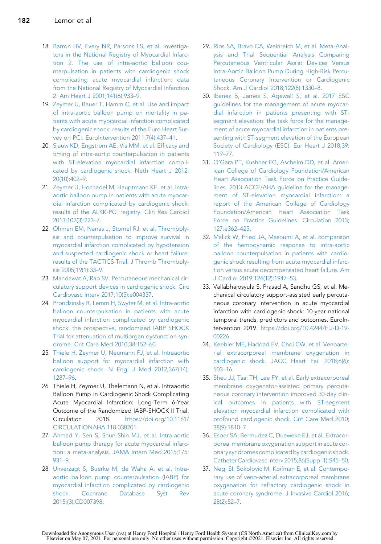- <span id="page-14-12"></span>18. [Barron HV, Every NR, Parsons LS, et al. Investiga](http://refhub.elsevier.com/S2211-7458(20)30093-6/sref18)[tors in the National Registry of Myocardial Infarc](http://refhub.elsevier.com/S2211-7458(20)30093-6/sref18)[tion 2. The use of intra-aortic balloon cou](http://refhub.elsevier.com/S2211-7458(20)30093-6/sref18)[nterpulsation in patients with cardiogenic shock](http://refhub.elsevier.com/S2211-7458(20)30093-6/sref18) [complicating acute myocardial infarction: data](http://refhub.elsevier.com/S2211-7458(20)30093-6/sref18) [from the National Registry of Myocardial Infarction](http://refhub.elsevier.com/S2211-7458(20)30093-6/sref18) [2. Am Heart J 2001;141\(6\):933–9](http://refhub.elsevier.com/S2211-7458(20)30093-6/sref18).
- <span id="page-14-13"></span>19. [Zeymer U, Bauer T, Hamm C, et al. Use and impact](http://refhub.elsevier.com/S2211-7458(20)30093-6/sref19) [of intra-aortic balloon pump on mortality in pa](http://refhub.elsevier.com/S2211-7458(20)30093-6/sref19)[tients with acute myocardial infarction complicated](http://refhub.elsevier.com/S2211-7458(20)30093-6/sref19) [by cardiogenic shock: results of the Euro Heart Sur](http://refhub.elsevier.com/S2211-7458(20)30093-6/sref19)[vey on PCI. EuroIntervention 2011;7\(4\):437–41](http://refhub.elsevier.com/S2211-7458(20)30093-6/sref19).
- <span id="page-14-14"></span>20. Sjauw KD, Engströ[m AE, Vis MM, et al. Efficacy and](http://refhub.elsevier.com/S2211-7458(20)30093-6/sref20) [timing of intra-aortic counterpulsation in patients](http://refhub.elsevier.com/S2211-7458(20)30093-6/sref20) [with ST-elevation myocardial infarction compli](http://refhub.elsevier.com/S2211-7458(20)30093-6/sref20)[cated by cardiogenic shock. Neth Heart J 2012;](http://refhub.elsevier.com/S2211-7458(20)30093-6/sref20) [20\(10\):402–9](http://refhub.elsevier.com/S2211-7458(20)30093-6/sref20).
- <span id="page-14-15"></span>21. [Zeymer U, Hochadel M, Hauptmann KE, et al. Intra](http://refhub.elsevier.com/S2211-7458(20)30093-6/sref21)[aortic balloon pump in patients with acute myocar](http://refhub.elsevier.com/S2211-7458(20)30093-6/sref21)[dial infarction complicated by cardiogenic shock:](http://refhub.elsevier.com/S2211-7458(20)30093-6/sref21) [results of the ALKK-PCI registry. Clin Res Cardiol](http://refhub.elsevier.com/S2211-7458(20)30093-6/sref21) [2013;102\(3\):223–7](http://refhub.elsevier.com/S2211-7458(20)30093-6/sref21).
- <span id="page-14-0"></span>22. [Ohman EM, Nanas J, Stomel RJ, et al. Thromboly](http://refhub.elsevier.com/S2211-7458(20)30093-6/sref22)[sis and counterpulsation to improve survival in](http://refhub.elsevier.com/S2211-7458(20)30093-6/sref22) [myocardial infarction complicated by hypotension](http://refhub.elsevier.com/S2211-7458(20)30093-6/sref22) [and suspected cardiogenic shock or heart failure:](http://refhub.elsevier.com/S2211-7458(20)30093-6/sref22) [results of the TACTICS Trial. J Thromb Thromboly](http://refhub.elsevier.com/S2211-7458(20)30093-6/sref22)[sis 2005;19\(1\):33–9](http://refhub.elsevier.com/S2211-7458(20)30093-6/sref22).
- 23. [Mandawat A, Rao SV. Percutaneous mechanical cir](http://refhub.elsevier.com/S2211-7458(20)30093-6/sref23)[culatory support devices in cardiogenic shock. Circ](http://refhub.elsevier.com/S2211-7458(20)30093-6/sref23) [Cardiovasc Interv 2017;10\(5\):e004337.](http://refhub.elsevier.com/S2211-7458(20)30093-6/sref23)
- <span id="page-14-1"></span>24. [Prondzinsky R, Lemm H, Swyter M, et al. Intra-aortic](http://refhub.elsevier.com/S2211-7458(20)30093-6/sref24) [balloon counterpulsation in patients with acute](http://refhub.elsevier.com/S2211-7458(20)30093-6/sref24) [myocardial infarction complicated by cardiogenic](http://refhub.elsevier.com/S2211-7458(20)30093-6/sref24) [shock: the prospective, randomized IABP SHOCK](http://refhub.elsevier.com/S2211-7458(20)30093-6/sref24) [Trial for attenuation of multiorgan dysfunction syn](http://refhub.elsevier.com/S2211-7458(20)30093-6/sref24)[drome. Crit Care Med 2010;38:152–60.](http://refhub.elsevier.com/S2211-7458(20)30093-6/sref24)
- <span id="page-14-2"></span>25. [Thiele H, Zeymer U, Neumann FJ, et al. Intraaortic](http://refhub.elsevier.com/S2211-7458(20)30093-6/sref25) [balloon support for myocardial infarction with](http://refhub.elsevier.com/S2211-7458(20)30093-6/sref25) [cardiogenic shock. N Engl J Med 2012;367\(14\):](http://refhub.elsevier.com/S2211-7458(20)30093-6/sref25) [1287–96.](http://refhub.elsevier.com/S2211-7458(20)30093-6/sref25)
- <span id="page-14-3"></span>26. Thiele H, Zeymer U, Thelemann N, et al. Intraaortic Balloon Pump in Cardiogenic Shock Complicating Acute Myocardial Infarction: Long-Term 6-Year Outcome of the Randomized IABP-SHOCK II Trial. Circulation 2018. [https://doi.org/10.1161/](https://doi.org/10.1161/CIRCULATIONAHA.118.038201) [CIRCULATIONAHA.118.038201.](https://doi.org/10.1161/CIRCULATIONAHA.118.038201)
- <span id="page-14-4"></span>27. [Ahmad Y, Sen S, Shun-Shin MJ, et al. Intra-aortic](http://refhub.elsevier.com/S2211-7458(20)30093-6/sref27) [balloon pump therapy for acute myocardial infarc](http://refhub.elsevier.com/S2211-7458(20)30093-6/sref27)[tion: a meta-analysis. JAMA Intern Med 2015;175:](http://refhub.elsevier.com/S2211-7458(20)30093-6/sref27) [931–9.](http://refhub.elsevier.com/S2211-7458(20)30093-6/sref27)
- <span id="page-14-5"></span>28. [Unverzagt S, Buerke M, de Waha A, et al. Intra](http://refhub.elsevier.com/S2211-7458(20)30093-6/sref28)[aortic balloon pump counterpulsation \(IABP\) for](http://refhub.elsevier.com/S2211-7458(20)30093-6/sref28) [myocardial infarction complicated by cardiogenic](http://refhub.elsevier.com/S2211-7458(20)30093-6/sref28) [shock. Cochrane Database Syst Rev](http://refhub.elsevier.com/S2211-7458(20)30093-6/sref28) [2015;\(3\):CD007398](http://refhub.elsevier.com/S2211-7458(20)30093-6/sref28).
- 29. [Rios SA, Bravo CA, Weinreich M, et al. Meta-Anal](http://refhub.elsevier.com/S2211-7458(20)30093-6/sref29)[ysis and Trial Sequential Analysis Comparing](http://refhub.elsevier.com/S2211-7458(20)30093-6/sref29) [Percutaneous Ventricular Assist Devices Versus](http://refhub.elsevier.com/S2211-7458(20)30093-6/sref29) [Intra-Aortic Balloon Pump During High-Risk Percu](http://refhub.elsevier.com/S2211-7458(20)30093-6/sref29)[taneous Coronary Intervention or Cardiogenic](http://refhub.elsevier.com/S2211-7458(20)30093-6/sref29) [Shock. Am J Cardiol 2018;122\(8\):1330–8.](http://refhub.elsevier.com/S2211-7458(20)30093-6/sref29)
- <span id="page-14-6"></span>30. [Ibanez B, James S, Agewall S, et al. 2017 ESC](http://refhub.elsevier.com/S2211-7458(20)30093-6/sref30) [guidelines for the management of acute myocar](http://refhub.elsevier.com/S2211-7458(20)30093-6/sref30)[dial infarction in patients presenting with ST](http://refhub.elsevier.com/S2211-7458(20)30093-6/sref30)[segment elevation: the task force for the manage](http://refhub.elsevier.com/S2211-7458(20)30093-6/sref30)[ment of acute myocardial infarction in patients pre](http://refhub.elsevier.com/S2211-7458(20)30093-6/sref30)[senting with ST-segment elevation of the European](http://refhub.elsevier.com/S2211-7458(20)30093-6/sref30) [Society of Cardiology \(ESC\). Eur Heart J 2018;39:](http://refhub.elsevier.com/S2211-7458(20)30093-6/sref30) [119–77.](http://refhub.elsevier.com/S2211-7458(20)30093-6/sref30)
- <span id="page-14-7"></span>31. [O'Gara PT, Kushner FG, Ascheim DD, et al. Amer](http://refhub.elsevier.com/S2211-7458(20)30093-6/sref31)[ican College of Cardiology Foundation/American](http://refhub.elsevier.com/S2211-7458(20)30093-6/sref31) [Heart Association Task Force on Practice Guide](http://refhub.elsevier.com/S2211-7458(20)30093-6/sref31)[lines. 2013 ACCF/AHA guideline for the manage](http://refhub.elsevier.com/S2211-7458(20)30093-6/sref31)[ment of ST-elevation myocardial infarction: a](http://refhub.elsevier.com/S2211-7458(20)30093-6/sref31) [report of the American College of Cardiology](http://refhub.elsevier.com/S2211-7458(20)30093-6/sref31) [Foundation/American Heart Association Task](http://refhub.elsevier.com/S2211-7458(20)30093-6/sref31) [Force on Practice Guidelines. Circulation 2013;](http://refhub.elsevier.com/S2211-7458(20)30093-6/sref31) [127:e362–425](http://refhub.elsevier.com/S2211-7458(20)30093-6/sref31).
- <span id="page-14-8"></span>32. [Malick W, Fried JA, Masoumi A, et al. comparison](http://refhub.elsevier.com/S2211-7458(20)30093-6/sref32) [of the hemodynamic response to intra-aortic](http://refhub.elsevier.com/S2211-7458(20)30093-6/sref32) [balloon counterpulsation in patients with cardio](http://refhub.elsevier.com/S2211-7458(20)30093-6/sref32)[genic shock resulting from acute myocardial infarc](http://refhub.elsevier.com/S2211-7458(20)30093-6/sref32)[tion versus acute decompensated heart failure. Am](http://refhub.elsevier.com/S2211-7458(20)30093-6/sref32) [J Cardiol 2019;124\(12\):1947–53.](http://refhub.elsevier.com/S2211-7458(20)30093-6/sref32)
- <span id="page-14-9"></span>33. Vallabhajosyula S, Prasad A, Sandhu GS, et al. Mechanical circulatory support-assisted early percutaneous coronary intervention in acute myocardial infarction with cardiogenic shock: 10-year national temporal trends, predictors and outcomes. EuroIntervention 2019. [https://doi.org/10.4244/EIJ-D-19-](https://doi.org/10.4244/EIJ-D-19-00226) [00226](https://doi.org/10.4244/EIJ-D-19-00226).
- <span id="page-14-10"></span>34. [Keebler ME, Haddad EV, Choi CW, et al. Venoarte](http://refhub.elsevier.com/S2211-7458(20)30093-6/sref34)[rial extracorporeal membrane oxygenation in](http://refhub.elsevier.com/S2211-7458(20)30093-6/sref34) [cardiogenic shock. JACC Heart Fail 2018;6\(6\):](http://refhub.elsevier.com/S2211-7458(20)30093-6/sref34) [503–16.](http://refhub.elsevier.com/S2211-7458(20)30093-6/sref34)
- <span id="page-14-11"></span>35. [Sheu JJ, Tsai TH, Lee FY, et al. Early extracorporeal](http://refhub.elsevier.com/S2211-7458(20)30093-6/sref35) [membrane oxygenator-assisted primary percuta](http://refhub.elsevier.com/S2211-7458(20)30093-6/sref35)[neous coronary intervention improved 30-day clin](http://refhub.elsevier.com/S2211-7458(20)30093-6/sref35)[ical outcomes in patients with ST-segment](http://refhub.elsevier.com/S2211-7458(20)30093-6/sref35) [elevation myocardial infarction complicated with](http://refhub.elsevier.com/S2211-7458(20)30093-6/sref35) [profound cardiogenic shock. Crit Care Med 2010;](http://refhub.elsevier.com/S2211-7458(20)30093-6/sref35) [38\(9\):1810–7.](http://refhub.elsevier.com/S2211-7458(20)30093-6/sref35)
- <span id="page-14-16"></span>36. [Esper SA, Bermudez C, Dueweke EJ, et al. Extracor](http://refhub.elsevier.com/S2211-7458(20)30093-6/sref36)[poreal membrane oxygenation support in acute cor](http://refhub.elsevier.com/S2211-7458(20)30093-6/sref36)[onary syndromes complicated by cardiogenic shock.](http://refhub.elsevier.com/S2211-7458(20)30093-6/sref36) [Catheter Cardiovasc Interv 2015;86\(Suppl 1\):S45–50](http://refhub.elsevier.com/S2211-7458(20)30093-6/sref36).
- <span id="page-14-17"></span>37. [Negi SI, Sokolovic M, Koifman E, et al. Contempo](http://refhub.elsevier.com/S2211-7458(20)30093-6/sref37)[rary use of veno-arterial extracorporeal membrane](http://refhub.elsevier.com/S2211-7458(20)30093-6/sref37) [oxygenation for refractory cardiogenic shock in](http://refhub.elsevier.com/S2211-7458(20)30093-6/sref37) [acute coronary syndrome. J Invasive Cardiol 2016;](http://refhub.elsevier.com/S2211-7458(20)30093-6/sref37) [28\(2\):52–7](http://refhub.elsevier.com/S2211-7458(20)30093-6/sref37).

Downloaded for Anonymous User (n/a) at Henry Ford Hospital / Henry Ford Health System (CS North America) from ClinicalKey.com by Elsevier on May 07, 2021. For personal use only. No other uses without permission. Copyright ©2021. Elsevier Inc. All rights reserved.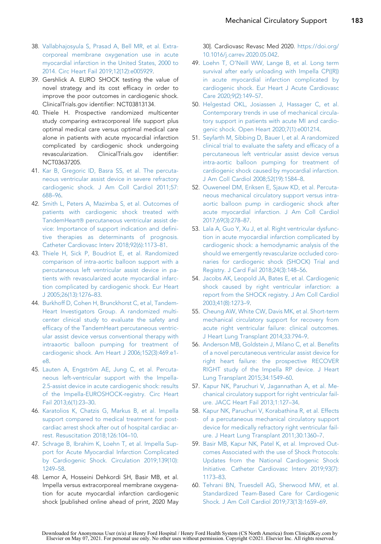- <span id="page-15-20"></span><span id="page-15-0"></span>38. [Vallabhajosyula S, Prasad A, Bell MR, et al. Extra](http://refhub.elsevier.com/S2211-7458(20)30093-6/sref38)[corporeal membrane oxygenation use in acute](http://refhub.elsevier.com/S2211-7458(20)30093-6/sref38) [myocardial infarction in the United States, 2000 to](http://refhub.elsevier.com/S2211-7458(20)30093-6/sref38) [2014. Circ Heart Fail 2019;12\(12\):e005929.](http://refhub.elsevier.com/S2211-7458(20)30093-6/sref38)
- <span id="page-15-1"></span>39. Gershlick A. EURO SHOCK testing the value of novel strategy and its cost efficacy in order to improve the poor outcomes in cardiogenic shock. ClinicalTrials.gov identifier: NCT03813134.
- <span id="page-15-2"></span>40. Thiele H. Prospective randomized multicenter study comparing extracorporeal life support plus optimal medical care versus optimal medical care alone in patients with acute myocardial infarction complicated by cardiogenic shock undergoing revascularization. ClinicalTrials.gov identifier: NCT03637205.
- <span id="page-15-3"></span>41. [Kar B, Gregoric ID, Basra SS, et al. The percuta](http://refhub.elsevier.com/S2211-7458(20)30093-6/sref41)[neous ventricular assist device in severe refractory](http://refhub.elsevier.com/S2211-7458(20)30093-6/sref41) [cardiogenic shock. J Am Coll Cardiol 2011;57:](http://refhub.elsevier.com/S2211-7458(20)30093-6/sref41) [688–96.](http://refhub.elsevier.com/S2211-7458(20)30093-6/sref41)
- <span id="page-15-16"></span><span id="page-15-15"></span><span id="page-15-4"></span>42. [Smith L, Peters A, Mazimba S, et al. Outcomes of](http://refhub.elsevier.com/S2211-7458(20)30093-6/sref42) [patients with cardiogenic shock treated with](http://refhub.elsevier.com/S2211-7458(20)30093-6/sref42) [TandemHeart](http://refhub.elsevier.com/S2211-7458(20)30093-6/sref42)® [percutaneous ventricular assist de](http://refhub.elsevier.com/S2211-7458(20)30093-6/sref42)[vice: Importance of support indication and defini](http://refhub.elsevier.com/S2211-7458(20)30093-6/sref42)[tive therapies as determinants of prognosis.](http://refhub.elsevier.com/S2211-7458(20)30093-6/sref42) [Catheter Cardiovasc Interv 2018;92\(6\):1173–81.](http://refhub.elsevier.com/S2211-7458(20)30093-6/sref42)
- <span id="page-15-5"></span>43. [Thiele H, Sick P, Boudriot E, et al. Randomized](http://refhub.elsevier.com/S2211-7458(20)30093-6/sref43) [comparison of intra-aortic balloon support with a](http://refhub.elsevier.com/S2211-7458(20)30093-6/sref43) [percutaneous left ventricular assist device in pa](http://refhub.elsevier.com/S2211-7458(20)30093-6/sref43)[tients with revascularized acute myocardial infarc](http://refhub.elsevier.com/S2211-7458(20)30093-6/sref43)[tion complicated by cardiogenic shock. Eur Heart](http://refhub.elsevier.com/S2211-7458(20)30093-6/sref43) [J 2005;26\(13\):1276–83.](http://refhub.elsevier.com/S2211-7458(20)30093-6/sref43)
- <span id="page-15-6"></span>44. [Burkhoff D, Cohen H, Brunckhorst C, et al, Tandem-](http://refhub.elsevier.com/S2211-7458(20)30093-6/sref44)[Heart Investigators Group. A randomized multi](http://refhub.elsevier.com/S2211-7458(20)30093-6/sref44)[center clinical study to evaluate the safety and](http://refhub.elsevier.com/S2211-7458(20)30093-6/sref44) [efficacy of the TandemHeart percutaneous ventric](http://refhub.elsevier.com/S2211-7458(20)30093-6/sref44)[ular assist device versus conventional therapy with](http://refhub.elsevier.com/S2211-7458(20)30093-6/sref44) [intraaortic balloon pumping for treatment of](http://refhub.elsevier.com/S2211-7458(20)30093-6/sref44) [cardiogenic shock. Am Heart J 2006;152\(3\):469.e1](http://refhub.elsevier.com/S2211-7458(20)30093-6/sref44) [e8.](http://refhub.elsevier.com/S2211-7458(20)30093-6/sref44)
- <span id="page-15-7"></span>45. Lauten A, Engströ[m AE, Jung C, et al. Percuta](http://refhub.elsevier.com/S2211-7458(20)30093-6/sref45)[neous left-ventricular support with the Impella-](http://refhub.elsevier.com/S2211-7458(20)30093-6/sref45)[2.5-assist device in acute cardiogenic shock: results](http://refhub.elsevier.com/S2211-7458(20)30093-6/sref45) [of the Impella-EUROSHOCK-registry. Circ Heart](http://refhub.elsevier.com/S2211-7458(20)30093-6/sref45) [Fail 2013;6\(1\):23–30.](http://refhub.elsevier.com/S2211-7458(20)30093-6/sref45)
- <span id="page-15-8"></span>46. [Karatolios K, Chatzis G, Markus B, et al. Impella](http://refhub.elsevier.com/S2211-7458(20)30093-6/sref46) [support compared to medical treatment for post](http://refhub.elsevier.com/S2211-7458(20)30093-6/sref46)[cardiac arrest shock after out of hospital cardiac ar](http://refhub.elsevier.com/S2211-7458(20)30093-6/sref46)[rest. Resuscitation 2018;126:104–10.](http://refhub.elsevier.com/S2211-7458(20)30093-6/sref46)
- <span id="page-15-9"></span>47. [Schrage B, Ibrahim K, Loehn T, et al. Impella Sup](http://refhub.elsevier.com/S2211-7458(20)30093-6/sref47)[port for Acute Myocardial Infarction Complicated](http://refhub.elsevier.com/S2211-7458(20)30093-6/sref47) [by Cardiogenic Shock. Circulation 2019;139\(10\):](http://refhub.elsevier.com/S2211-7458(20)30093-6/sref47) [1249–58.](http://refhub.elsevier.com/S2211-7458(20)30093-6/sref47)
- <span id="page-15-10"></span>48. Lemor A, Hosseini Dehkordi SH, Basir MB, et al. Impella versus extracorporeal membrane oxygenation for acute myocardial infarction cardiogenic shock [published online ahead of print, 2020 May

<span id="page-15-18"></span>30]. Cardiovasc Revasc Med 2020. [https://doi.org/](https://doi.org/10.1016/j.carrev.2020.05.042) [10.1016/j.carrev.2020.05.042.](https://doi.org/10.1016/j.carrev.2020.05.042)

- <span id="page-15-19"></span><span id="page-15-11"></span>49. [Loehn T, O'Neill WW, Lange B, et al. Long term](http://refhub.elsevier.com/S2211-7458(20)30093-6/sref49) [survival after early unloading with Impella CP\(\(R\)\)](http://refhub.elsevier.com/S2211-7458(20)30093-6/sref49) [in acute myocardial infarction complicated by](http://refhub.elsevier.com/S2211-7458(20)30093-6/sref49) [cardiogenic shock. Eur Heart J Acute Cardiovasc](http://refhub.elsevier.com/S2211-7458(20)30093-6/sref49) [Care 2020;9\(2\):149–57.](http://refhub.elsevier.com/S2211-7458(20)30093-6/sref49)
- <span id="page-15-12"></span>50. [Helgestad OKL, Josiassen J, Hassager C, et al.](http://refhub.elsevier.com/S2211-7458(20)30093-6/sref50) [Contemporary trends in use of mechanical circula](http://refhub.elsevier.com/S2211-7458(20)30093-6/sref50)[tory support in patients with acute MI and cardio](http://refhub.elsevier.com/S2211-7458(20)30093-6/sref50)[genic shock. Open Heart 2020;7\(1\):e001214.](http://refhub.elsevier.com/S2211-7458(20)30093-6/sref50)
- <span id="page-15-22"></span>51. [Seyfarth M, Sibbing D, Bauer I, et al. A randomized](http://refhub.elsevier.com/S2211-7458(20)30093-6/sref51) [clinical trial to evaluate the safety and efficacy of a](http://refhub.elsevier.com/S2211-7458(20)30093-6/sref51) [percutaneous left ventricular assist device versus](http://refhub.elsevier.com/S2211-7458(20)30093-6/sref51) [intra-aortic balloon pumping for treatment of](http://refhub.elsevier.com/S2211-7458(20)30093-6/sref51) [cardiogenic shock caused by myocardial infarction.](http://refhub.elsevier.com/S2211-7458(20)30093-6/sref51) [J Am Coll Cardiol 2008;52\(19\):1584–8.](http://refhub.elsevier.com/S2211-7458(20)30093-6/sref51)
- <span id="page-15-23"></span><span id="page-15-21"></span><span id="page-15-17"></span><span id="page-15-14"></span><span id="page-15-13"></span>52. [Ouweneel DM, Eriksen E, Sjauw KD, et al. Percuta](http://refhub.elsevier.com/S2211-7458(20)30093-6/sref52)[neous mechanical circulatory support versus intra](http://refhub.elsevier.com/S2211-7458(20)30093-6/sref52)[aortic balloon pump in cardiogenic shock after](http://refhub.elsevier.com/S2211-7458(20)30093-6/sref52) [acute myocardial infarction. J Am Coll Cardiol](http://refhub.elsevier.com/S2211-7458(20)30093-6/sref52) [2017;69\(3\):278–87](http://refhub.elsevier.com/S2211-7458(20)30093-6/sref52).
- <span id="page-15-24"></span>53. [Lala A, Guo Y, Xu J, et al. Right ventricular dysfunc](http://refhub.elsevier.com/S2211-7458(20)30093-6/sref53)[tion in acute myocardial infarction complicated by](http://refhub.elsevier.com/S2211-7458(20)30093-6/sref53) [cardiogenic shock: a hemodynamic analysis of the](http://refhub.elsevier.com/S2211-7458(20)30093-6/sref53) [should we emergently revascularize occluded coro](http://refhub.elsevier.com/S2211-7458(20)30093-6/sref53)[naries for cardiogenic shock \(SHOCK\) Trial and](http://refhub.elsevier.com/S2211-7458(20)30093-6/sref53) [Registry. J Card Fail 2018;24\(3\):148–56.](http://refhub.elsevier.com/S2211-7458(20)30093-6/sref53)
- <span id="page-15-25"></span>54. [Jacobs AK, Leopold JA, Bates E, et al. Cardiogenic](http://refhub.elsevier.com/S2211-7458(20)30093-6/sref54) [shock caused by right ventricular infarction: a](http://refhub.elsevier.com/S2211-7458(20)30093-6/sref54) [report from the SHOCK registry. J Am Coll Cardiol](http://refhub.elsevier.com/S2211-7458(20)30093-6/sref54) [2003;41\(8\):1273–9](http://refhub.elsevier.com/S2211-7458(20)30093-6/sref54).
- <span id="page-15-26"></span>55. [Cheung AW, White CW, Davis MK, et al. Short-term](http://refhub.elsevier.com/S2211-7458(20)30093-6/sref55) [mechanical circulatory support for recovery from](http://refhub.elsevier.com/S2211-7458(20)30093-6/sref55) [acute right ventricular failure: clinical outcomes.](http://refhub.elsevier.com/S2211-7458(20)30093-6/sref55) [J Heart Lung Transplant 2014;33:794–9](http://refhub.elsevier.com/S2211-7458(20)30093-6/sref55).
- <span id="page-15-27"></span>56. [Anderson MB, Goldstein J, Milano C, et al. Benefits](http://refhub.elsevier.com/S2211-7458(20)30093-6/sref56) [of a novel percutaneous ventricular assist device for](http://refhub.elsevier.com/S2211-7458(20)30093-6/sref56) [right heart failure: the prospective RECOVER](http://refhub.elsevier.com/S2211-7458(20)30093-6/sref56) [RIGHT study of the Impella RP device. J Heart](http://refhub.elsevier.com/S2211-7458(20)30093-6/sref56) [Lung Transplant 2015;34:1549–60](http://refhub.elsevier.com/S2211-7458(20)30093-6/sref56).
- <span id="page-15-28"></span>57. [Kapur NK, Paruchuri V, Jagannathan A, et al. Me](http://refhub.elsevier.com/S2211-7458(20)30093-6/sref57)[chanical circulatory support for right ventricular fail](http://refhub.elsevier.com/S2211-7458(20)30093-6/sref57)[ure. JACC Heart Fail 2013;1:127–34](http://refhub.elsevier.com/S2211-7458(20)30093-6/sref57).
- <span id="page-15-29"></span>58. [Kapur NK, Paruchuri V, Korabathina R, et al. Effects](http://refhub.elsevier.com/S2211-7458(20)30093-6/sref58) [of a percutaneous mechanical circulatory support](http://refhub.elsevier.com/S2211-7458(20)30093-6/sref58) [device for medically refractory right ventricular fail](http://refhub.elsevier.com/S2211-7458(20)30093-6/sref58)[ure. J Heart Lung Transplant 2011;30:1360–7.](http://refhub.elsevier.com/S2211-7458(20)30093-6/sref58)
- <span id="page-15-30"></span>59. [Basir MB, Kapur NK, Patel K, et al. Improved Out](http://refhub.elsevier.com/S2211-7458(20)30093-6/sref59)[comes Associated with the use of Shock Protocols:](http://refhub.elsevier.com/S2211-7458(20)30093-6/sref59) [Updates from the National Cardiogenic Shock](http://refhub.elsevier.com/S2211-7458(20)30093-6/sref59) [Initiative. Catheter Cardiovasc Interv 2019;93\(7\):](http://refhub.elsevier.com/S2211-7458(20)30093-6/sref59) [1173–83](http://refhub.elsevier.com/S2211-7458(20)30093-6/sref59).
- <span id="page-15-31"></span>60. [Tehrani BN, Truesdell AG, Sherwood MW, et al.](http://refhub.elsevier.com/S2211-7458(20)30093-6/sref60) [Standardized Team-Based Care for Cardiogenic](http://refhub.elsevier.com/S2211-7458(20)30093-6/sref60) [Shock. J Am Coll Cardiol 2019;73\(13\):1659–69.](http://refhub.elsevier.com/S2211-7458(20)30093-6/sref60)